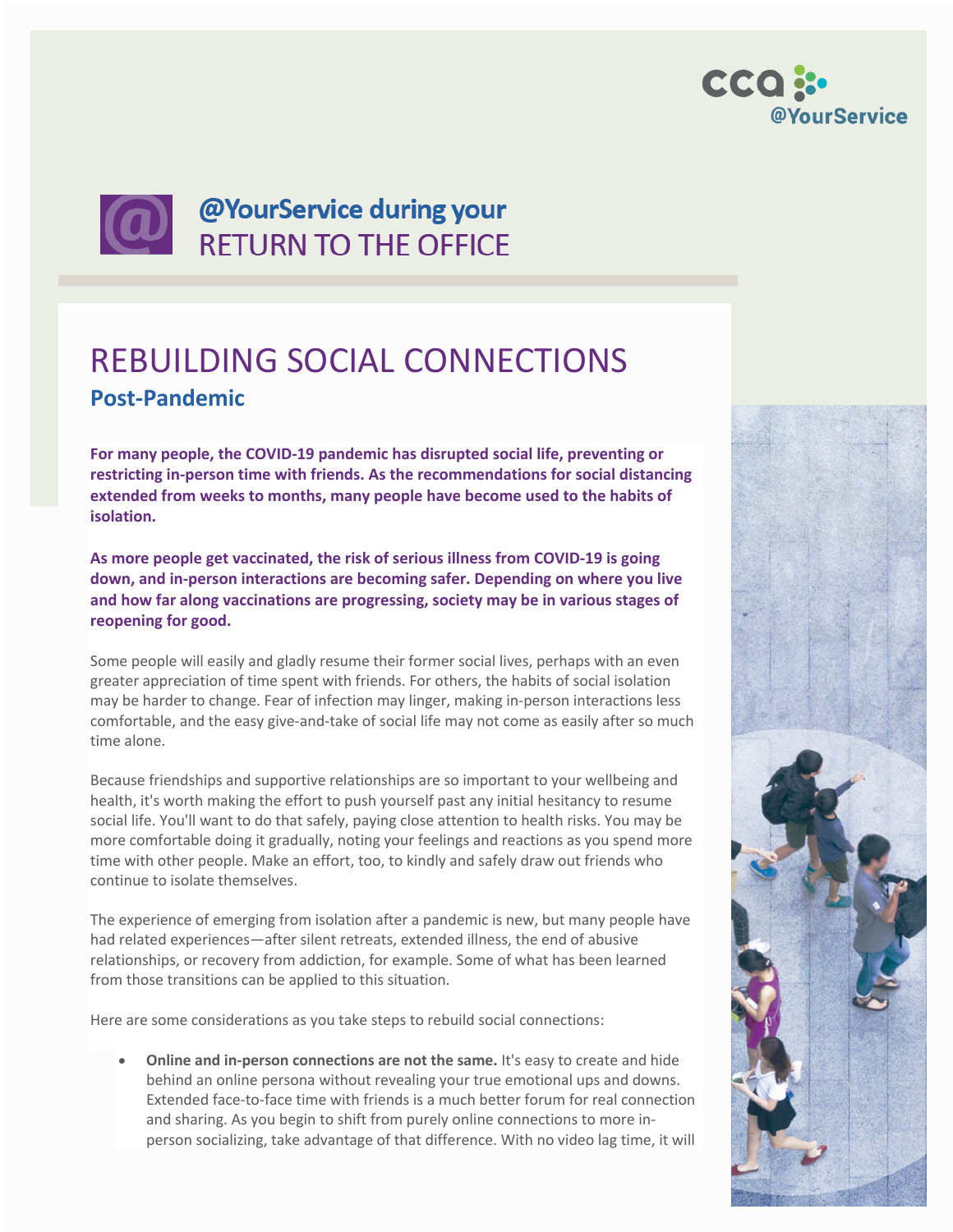

## **CO** @YourService during your

## REBUILDING SOCIAL CONNECTIONS **Post-Pandemic**

**For many people, the COVID-19 pandemic has disrupted social life, preventing or restricting in-person time with friends. As the recommendations for social distancing extended from weeks to months, many people have become used to the habits of isolation.**

**As more people get vaccinated, the risk of serious illness from COVID-19 is going down, and in-person interactions are becoming safer. Depending on where you live and how far along vaccinations are progressing, society may be in various stages of reopening for good.**

Some people will easily and gladly resume their former social lives, perhaps with an even greater appreciation of time spent with friends. For others, the habits of social isolation may be harder to change. Fear of infection may linger, making in-person interactions less comfortable, and the easy give-and-take of social life may not come as easily after so much time alone.

Because friendships and supportive relationships are so important to your wellbeing and health, it's worth making the effort to push yourself past any initial hesitancy to resume social life. You'll want to do that safely, paying close attention to health risks. You may be more comfortable doing it gradually, noting your feelings and reactions as you spend more time with other people. Make an effort, too, to kindly and safely draw out friends who continue to isolate themselves.

The experience of emerging from isolation after a pandemic is new, but many people have had related experiences—after silent retreats, extended illness, the end of abusive relationships, or recovery from addiction, for example. Some of what has been learned from those transitions can be applied to this situation.

Here are some considerations as you take steps to rebuild social connections:

• **Online and in-person connections are not the same.** It's easy to create and hide behind an online persona without revealing your true emotional ups and downs. Extended face-to-face time with friends is a much better forum for real connection and sharing. As you begin to shift from purely online connections to more inperson socializing, take advantage of that difference. With no video lag time, it will

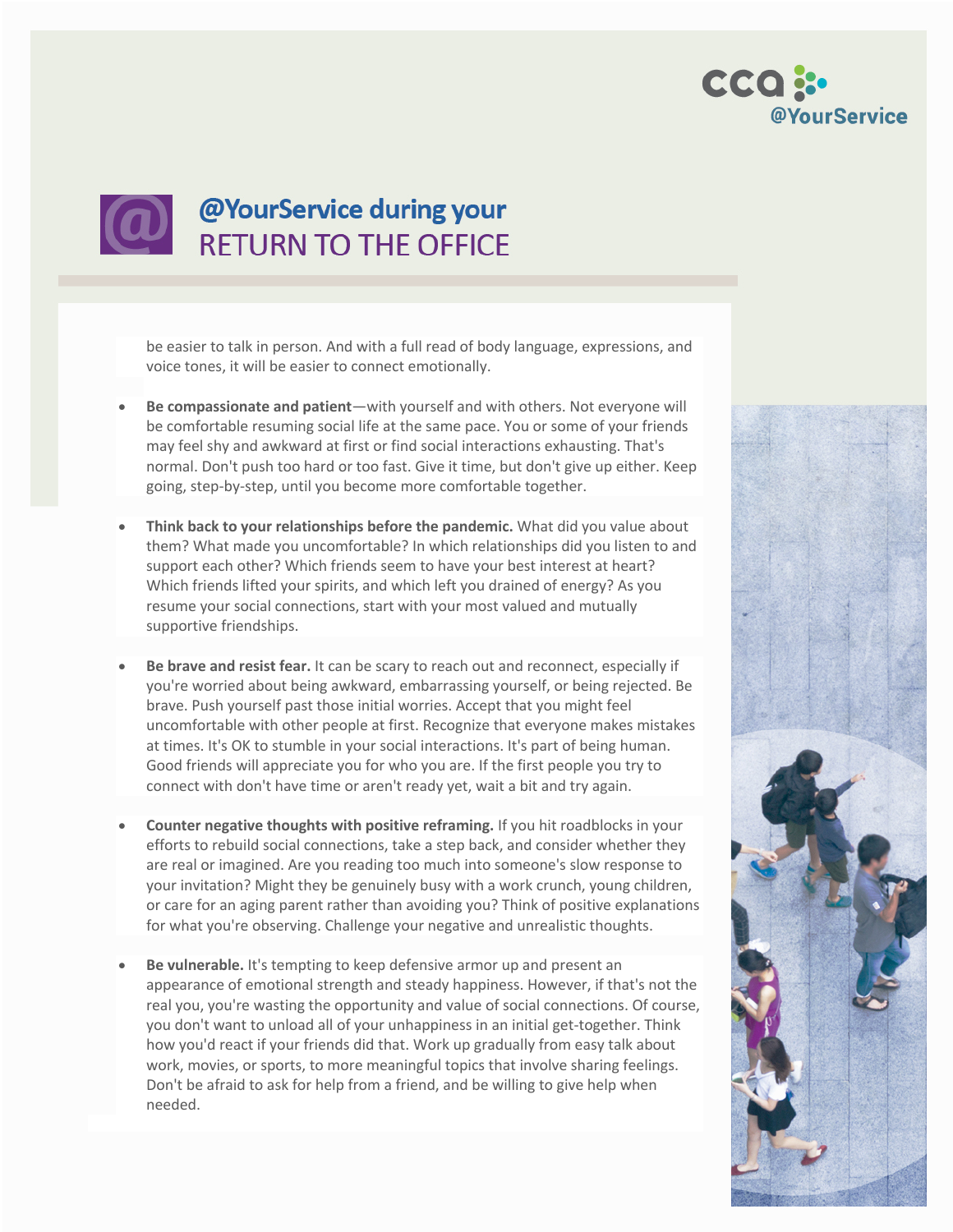



be easier to talk in person. And with a full read of body language, expressions, and voice tones, it will be easier to connect emotionally.

- **Be compassionate and patient**—with yourself and with others. Not everyone will be comfortable resuming social life at the same pace. You or some of your friends may feel shy and awkward at first or find social interactions exhausting. That's normal. Don't push too hard or too fast. Give it time, but don't give up either. Keep going, step-by-step, until you become more comfortable together.
- **Think back to your relationships before the pandemic.** What did you value about them? What made you uncomfortable? In which relationships did you listen to and support each other? Which friends seem to have your best interest at heart? Which friends lifted your spirits, and which left you drained of energy? As you resume your social connections, start with your most valued and mutually supportive friendships.
- **Be brave and resist fear.** It can be scary to reach out and reconnect, especially if you're worried about being awkward, embarrassing yourself, or being rejected. Be brave. Push yourself past those initial worries. Accept that you might feel uncomfortable with other people at first. Recognize that everyone makes mistakes at times. It's OK to stumble in your social interactions. It's part of being human. Good friends will appreciate you for who you are. If the first people you try to connect with don't have time or aren't ready yet, wait a bit and try again.
- **Counter negative thoughts with positive reframing.** If you hit roadblocks in your efforts to rebuild social connections, take a step back, and consider whether they are real or imagined. Are you reading too much into someone's slow response to your invitation? Might they be genuinely busy with a work crunch, young children, or care for an aging parent rather than avoiding you? Think of positive explanations for what you're observing. Challenge your negative and unrealistic thoughts.
- **Be vulnerable.** It's tempting to keep defensive armor up and present an appearance of emotional strength and steady happiness. However, if that's not the real you, you're wasting the opportunity and value of social connections. Of course, you don't want to unload all of your unhappiness in an initial get-together. Think how you'd react if your friends did that. Work up gradually from easy talk about work, movies, or sports, to more meaningful topics that involve sharing feelings. Don't be afraid to ask for help from a friend, and be willing to give help when needed.